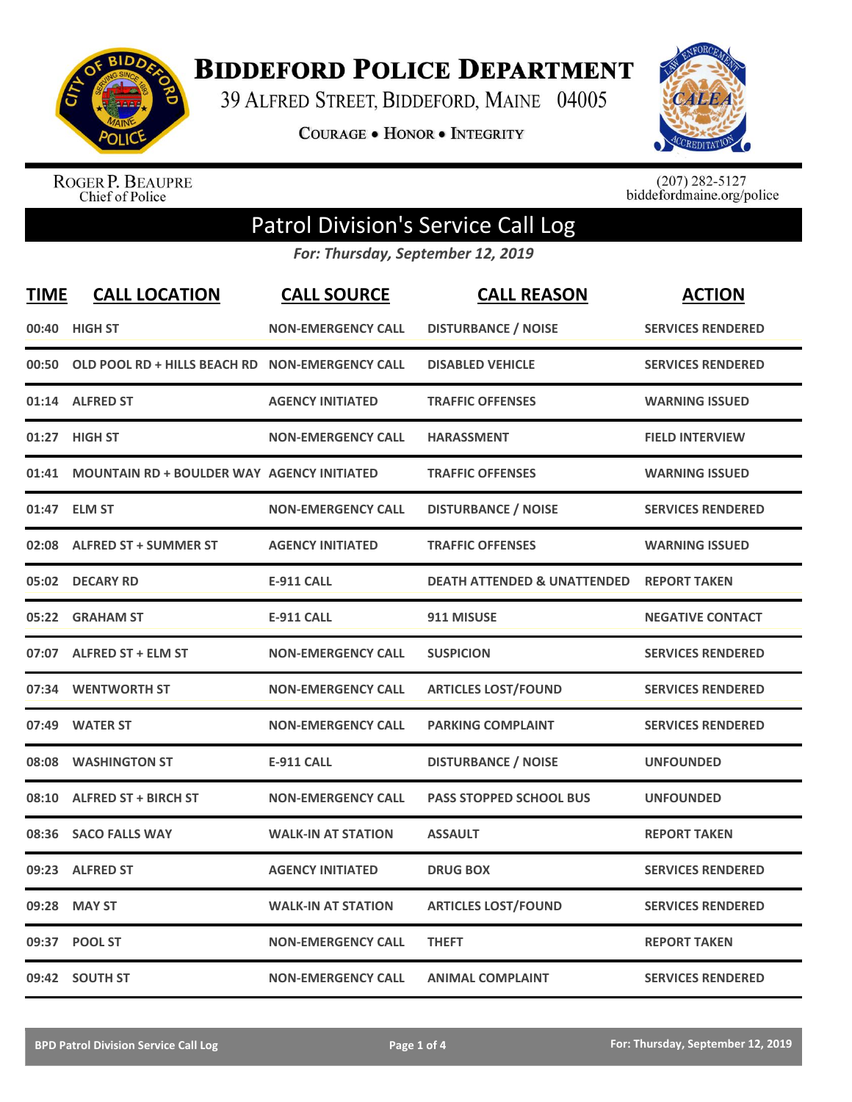

**BIDDEFORD POLICE DEPARTMENT** 

39 ALFRED STREET, BIDDEFORD, MAINE 04005

**COURAGE . HONOR . INTEGRITY** 



ROGER P. BEAUPRE<br>Chief of Police

 $(207)$  282-5127<br>biddefordmaine.org/police

## Patrol Division's Service Call Log

*For: Thursday, September 12, 2019*

| <b>TIME</b> | <b>CALL LOCATION</b>                              | <b>CALL SOURCE</b>        | <b>CALL REASON</b>                     | <b>ACTION</b>            |
|-------------|---------------------------------------------------|---------------------------|----------------------------------------|--------------------------|
|             | 00:40 HIGH ST                                     | <b>NON-EMERGENCY CALL</b> | <b>DISTURBANCE / NOISE</b>             | <b>SERVICES RENDERED</b> |
| 00:50       | OLD POOL RD + HILLS BEACH RD NON-EMERGENCY CALL   |                           | <b>DISABLED VEHICLE</b>                | <b>SERVICES RENDERED</b> |
|             | 01:14 ALFRED ST                                   | <b>AGENCY INITIATED</b>   | <b>TRAFFIC OFFENSES</b>                | <b>WARNING ISSUED</b>    |
| 01:27       | <b>HIGH ST</b>                                    | <b>NON-EMERGENCY CALL</b> | <b>HARASSMENT</b>                      | <b>FIELD INTERVIEW</b>   |
| 01:41       | <b>MOUNTAIN RD + BOULDER WAY AGENCY INITIATED</b> |                           | <b>TRAFFIC OFFENSES</b>                | <b>WARNING ISSUED</b>    |
|             | 01:47 ELM ST                                      | <b>NON-EMERGENCY CALL</b> | <b>DISTURBANCE / NOISE</b>             | <b>SERVICES RENDERED</b> |
|             | 02:08 ALFRED ST + SUMMER ST                       | <b>AGENCY INITIATED</b>   | <b>TRAFFIC OFFENSES</b>                | <b>WARNING ISSUED</b>    |
|             | 05:02 DECARY RD                                   | <b>E-911 CALL</b>         | <b>DEATH ATTENDED &amp; UNATTENDED</b> | <b>REPORT TAKEN</b>      |
| 05:22       | <b>GRAHAM ST</b>                                  | <b>E-911 CALL</b>         | 911 MISUSE                             | <b>NEGATIVE CONTACT</b>  |
|             | 07:07 ALFRED ST + ELM ST                          | <b>NON-EMERGENCY CALL</b> | <b>SUSPICION</b>                       | <b>SERVICES RENDERED</b> |
|             | 07:34 WENTWORTH ST                                | <b>NON-EMERGENCY CALL</b> | <b>ARTICLES LOST/FOUND</b>             | <b>SERVICES RENDERED</b> |
| 07:49       | <b>WATER ST</b>                                   | <b>NON-EMERGENCY CALL</b> | <b>PARKING COMPLAINT</b>               | <b>SERVICES RENDERED</b> |
|             | 08:08 WASHINGTON ST                               | <b>E-911 CALL</b>         | <b>DISTURBANCE / NOISE</b>             | <b>UNFOUNDED</b>         |
| 08:10       | <b>ALFRED ST + BIRCH ST</b>                       | <b>NON-EMERGENCY CALL</b> | <b>PASS STOPPED SCHOOL BUS</b>         | <b>UNFOUNDED</b>         |
| 08:36       | <b>SACO FALLS WAY</b>                             | <b>WALK-IN AT STATION</b> | <b>ASSAULT</b>                         | <b>REPORT TAKEN</b>      |
|             | 09:23 ALFRED ST                                   | <b>AGENCY INITIATED</b>   | <b>DRUG BOX</b>                        | <b>SERVICES RENDERED</b> |
| 09:28       | <b>MAY ST</b>                                     | <b>WALK-IN AT STATION</b> | <b>ARTICLES LOST/FOUND</b>             | <b>SERVICES RENDERED</b> |
|             | 09:37 POOL ST                                     | <b>NON-EMERGENCY CALL</b> | <b>THEFT</b>                           | <b>REPORT TAKEN</b>      |
|             | 09:42 SOUTH ST                                    | <b>NON-EMERGENCY CALL</b> | <b>ANIMAL COMPLAINT</b>                | <b>SERVICES RENDERED</b> |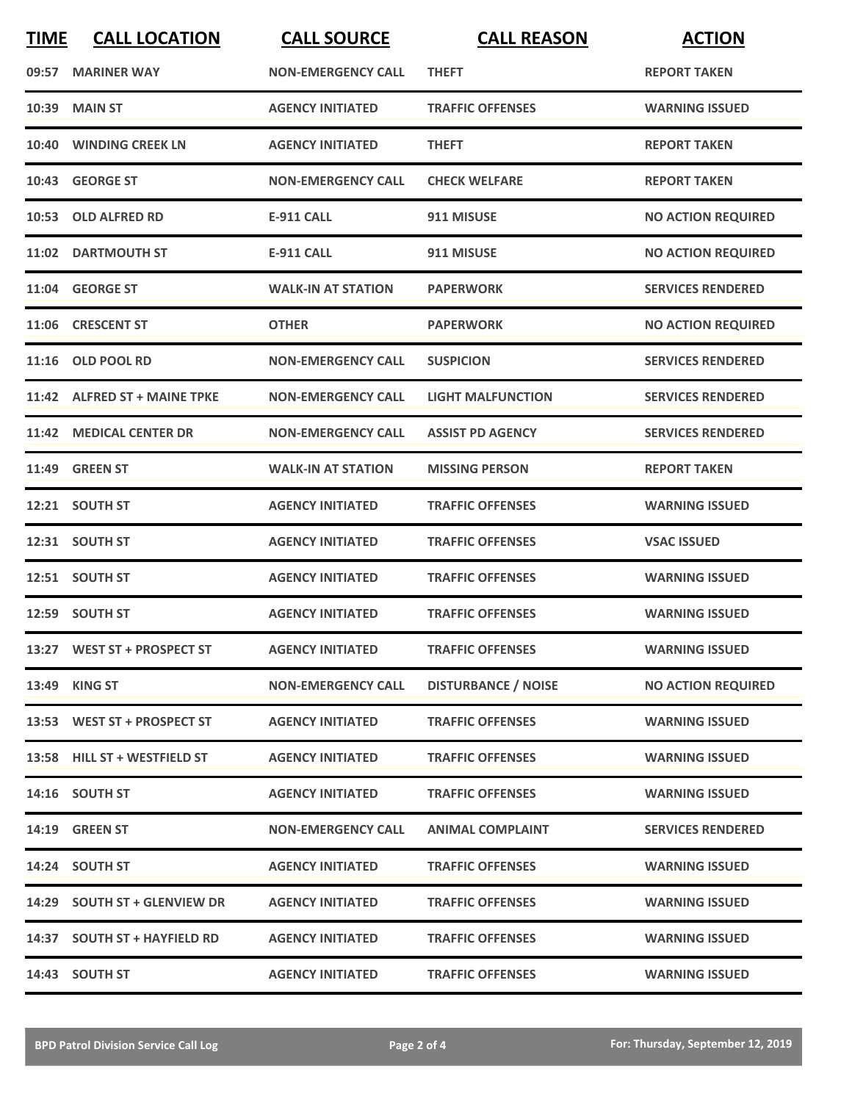| <b>TIME</b> | <b>CALL LOCATION</b>         | <b>CALL SOURCE</b>        | <b>CALL REASON</b>         | <b>ACTION</b>             |
|-------------|------------------------------|---------------------------|----------------------------|---------------------------|
|             | 09:57 MARINER WAY            | <b>NON-EMERGENCY CALL</b> | <b>THEFT</b>               | <b>REPORT TAKEN</b>       |
| 10:39       | <b>MAIN ST</b>               | <b>AGENCY INITIATED</b>   | <b>TRAFFIC OFFENSES</b>    | <b>WARNING ISSUED</b>     |
|             | 10:40 WINDING CREEK LN       | <b>AGENCY INITIATED</b>   | <b>THEFT</b>               | <b>REPORT TAKEN</b>       |
|             | 10:43 GEORGE ST              | <b>NON-EMERGENCY CALL</b> | <b>CHECK WELFARE</b>       | <b>REPORT TAKEN</b>       |
|             | 10:53 OLD ALFRED RD          | <b>E-911 CALL</b>         | 911 MISUSE                 | <b>NO ACTION REQUIRED</b> |
|             | 11:02 DARTMOUTH ST           | <b>E-911 CALL</b>         | 911 MISUSE                 | <b>NO ACTION REQUIRED</b> |
|             | 11:04 GEORGE ST              | <b>WALK-IN AT STATION</b> | <b>PAPERWORK</b>           | <b>SERVICES RENDERED</b>  |
|             | 11:06 CRESCENT ST            | <b>OTHER</b>              | <b>PAPERWORK</b>           | <b>NO ACTION REQUIRED</b> |
|             | 11:16 OLD POOL RD            | <b>NON-EMERGENCY CALL</b> | <b>SUSPICION</b>           | <b>SERVICES RENDERED</b>  |
|             | 11:42 ALFRED ST + MAINE TPKE | <b>NON-EMERGENCY CALL</b> | <b>LIGHT MALFUNCTION</b>   | <b>SERVICES RENDERED</b>  |
|             | 11:42 MEDICAL CENTER DR      | <b>NON-EMERGENCY CALL</b> | <b>ASSIST PD AGENCY</b>    | <b>SERVICES RENDERED</b>  |
| 11:49       | <b>GREEN ST</b>              | <b>WALK-IN AT STATION</b> | <b>MISSING PERSON</b>      | <b>REPORT TAKEN</b>       |
|             | 12:21 SOUTH ST               | <b>AGENCY INITIATED</b>   | <b>TRAFFIC OFFENSES</b>    | <b>WARNING ISSUED</b>     |
|             | 12:31 SOUTH ST               | <b>AGENCY INITIATED</b>   | <b>TRAFFIC OFFENSES</b>    | <b>VSAC ISSUED</b>        |
|             | 12:51 SOUTH ST               | <b>AGENCY INITIATED</b>   | <b>TRAFFIC OFFENSES</b>    | <b>WARNING ISSUED</b>     |
|             | 12:59 SOUTH ST               | <b>AGENCY INITIATED</b>   | <b>TRAFFIC OFFENSES</b>    | <b>WARNING ISSUED</b>     |
|             | 13:27 WEST ST + PROSPECT ST  | <b>AGENCY INITIATED</b>   | <b>TRAFFIC OFFENSES</b>    | <b>WARNING ISSUED</b>     |
|             | 13:49 KING ST                | <b>NON-EMERGENCY CALL</b> | <b>DISTURBANCE / NOISE</b> | <b>NO ACTION REQUIRED</b> |
|             | 13:53 WEST ST + PROSPECT ST  | <b>AGENCY INITIATED</b>   | <b>TRAFFIC OFFENSES</b>    | <b>WARNING ISSUED</b>     |
|             | 13:58 HILL ST + WESTFIELD ST | <b>AGENCY INITIATED</b>   | <b>TRAFFIC OFFENSES</b>    | <b>WARNING ISSUED</b>     |
|             | 14:16 SOUTH ST               | <b>AGENCY INITIATED</b>   | <b>TRAFFIC OFFENSES</b>    | <b>WARNING ISSUED</b>     |
|             | 14:19 GREEN ST               | <b>NON-EMERGENCY CALL</b> | <b>ANIMAL COMPLAINT</b>    | <b>SERVICES RENDERED</b>  |
|             | 14:24 SOUTH ST               | <b>AGENCY INITIATED</b>   | <b>TRAFFIC OFFENSES</b>    | <b>WARNING ISSUED</b>     |
|             | 14:29 SOUTH ST + GLENVIEW DR | <b>AGENCY INITIATED</b>   | <b>TRAFFIC OFFENSES</b>    | <b>WARNING ISSUED</b>     |
|             | 14:37 SOUTH ST + HAYFIELD RD | <b>AGENCY INITIATED</b>   | <b>TRAFFIC OFFENSES</b>    | <b>WARNING ISSUED</b>     |
|             | 14:43 SOUTH ST               | <b>AGENCY INITIATED</b>   | <b>TRAFFIC OFFENSES</b>    | <b>WARNING ISSUED</b>     |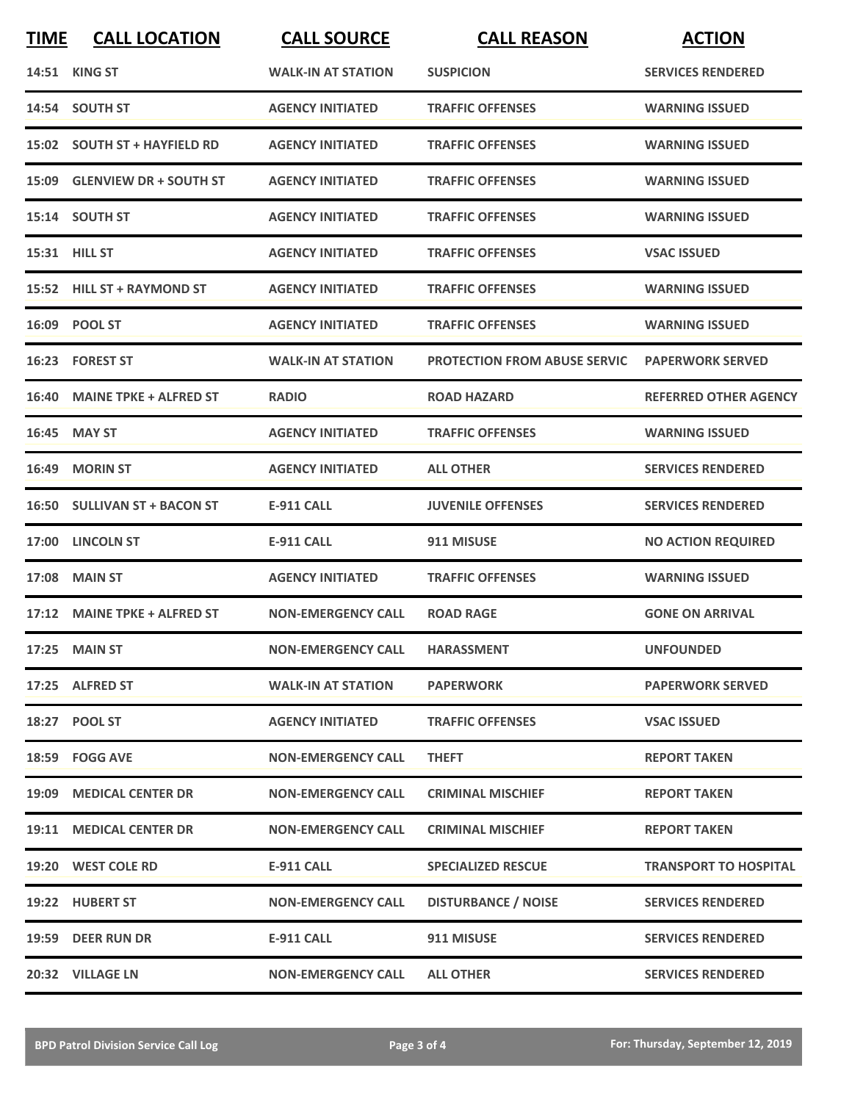| <b>TIME</b> | <b>CALL LOCATION</b>          | <b>CALL SOURCE</b>        | <b>CALL REASON</b>                  | <b>ACTION</b>                |
|-------------|-------------------------------|---------------------------|-------------------------------------|------------------------------|
|             | <b>14:51 KING ST</b>          | <b>WALK-IN AT STATION</b> | <b>SUSPICION</b>                    | <b>SERVICES RENDERED</b>     |
|             | 14:54 SOUTH ST                | <b>AGENCY INITIATED</b>   | <b>TRAFFIC OFFENSES</b>             | <b>WARNING ISSUED</b>        |
|             | 15:02 SOUTH ST + HAYFIELD RD  | <b>AGENCY INITIATED</b>   | <b>TRAFFIC OFFENSES</b>             | <b>WARNING ISSUED</b>        |
|             | 15:09 GLENVIEW DR + SOUTH ST  | <b>AGENCY INITIATED</b>   | <b>TRAFFIC OFFENSES</b>             | <b>WARNING ISSUED</b>        |
|             | 15:14 SOUTH ST                | <b>AGENCY INITIATED</b>   | <b>TRAFFIC OFFENSES</b>             | <b>WARNING ISSUED</b>        |
|             | 15:31 HILL ST                 | <b>AGENCY INITIATED</b>   | <b>TRAFFIC OFFENSES</b>             | <b>VSAC ISSUED</b>           |
|             | 15:52 HILL ST + RAYMOND ST    | <b>AGENCY INITIATED</b>   | <b>TRAFFIC OFFENSES</b>             | <b>WARNING ISSUED</b>        |
|             | 16:09 POOL ST                 | <b>AGENCY INITIATED</b>   | <b>TRAFFIC OFFENSES</b>             | <b>WARNING ISSUED</b>        |
|             | 16:23 FOREST ST               | <b>WALK-IN AT STATION</b> | <b>PROTECTION FROM ABUSE SERVIC</b> | <b>PAPERWORK SERVED</b>      |
|             | 16:40 MAINE TPKE + ALFRED ST  | <b>RADIO</b>              | <b>ROAD HAZARD</b>                  | <b>REFERRED OTHER AGENCY</b> |
|             | 16:45 MAY ST                  | <b>AGENCY INITIATED</b>   | <b>TRAFFIC OFFENSES</b>             | <b>WARNING ISSUED</b>        |
| 16:49       | <b>MORIN ST</b>               | <b>AGENCY INITIATED</b>   | <b>ALL OTHER</b>                    | <b>SERVICES RENDERED</b>     |
| 16:50       | <b>SULLIVAN ST + BACON ST</b> | <b>E-911 CALL</b>         | <b>JUVENILE OFFENSES</b>            | <b>SERVICES RENDERED</b>     |
| 17:00       | <b>LINCOLN ST</b>             | <b>E-911 CALL</b>         | 911 MISUSE                          | <b>NO ACTION REQUIRED</b>    |
| 17:08       | <b>MAIN ST</b>                | <b>AGENCY INITIATED</b>   | <b>TRAFFIC OFFENSES</b>             | <b>WARNING ISSUED</b>        |
|             | 17:12 MAINE TPKE + ALFRED ST  | <b>NON-EMERGENCY CALL</b> | <b>ROAD RAGE</b>                    | <b>GONE ON ARRIVAL</b>       |
|             | 17:25 MAIN ST                 | <b>NON-EMERGENCY CALL</b> | <b>HARASSMENT</b>                   | <b>UNFOUNDED</b>             |
|             | 17:25 ALFRED ST               | <b>WALK-IN AT STATION</b> | <b>PAPERWORK</b>                    | <b>PAPERWORK SERVED</b>      |
|             | 18:27 POOL ST                 | <b>AGENCY INITIATED</b>   | <b>TRAFFIC OFFENSES</b>             | <b>VSAC ISSUED</b>           |
|             | 18:59 FOGG AVE                | <b>NON-EMERGENCY CALL</b> | <b>THEFT</b>                        | <b>REPORT TAKEN</b>          |
|             | 19:09 MEDICAL CENTER DR       | <b>NON-EMERGENCY CALL</b> | <b>CRIMINAL MISCHIEF</b>            | <b>REPORT TAKEN</b>          |
|             | 19:11 MEDICAL CENTER DR       | <b>NON-EMERGENCY CALL</b> | <b>CRIMINAL MISCHIEF</b>            | <b>REPORT TAKEN</b>          |
|             | 19:20 WEST COLE RD            | E-911 CALL                | <b>SPECIALIZED RESCUE</b>           | <b>TRANSPORT TO HOSPITAL</b> |
|             | 19:22 HUBERT ST               | <b>NON-EMERGENCY CALL</b> | <b>DISTURBANCE / NOISE</b>          | <b>SERVICES RENDERED</b>     |
|             | 19:59 DEER RUN DR             | <b>E-911 CALL</b>         | 911 MISUSE                          | <b>SERVICES RENDERED</b>     |
|             | 20:32 VILLAGE LN              | <b>NON-EMERGENCY CALL</b> | <b>ALL OTHER</b>                    | <b>SERVICES RENDERED</b>     |